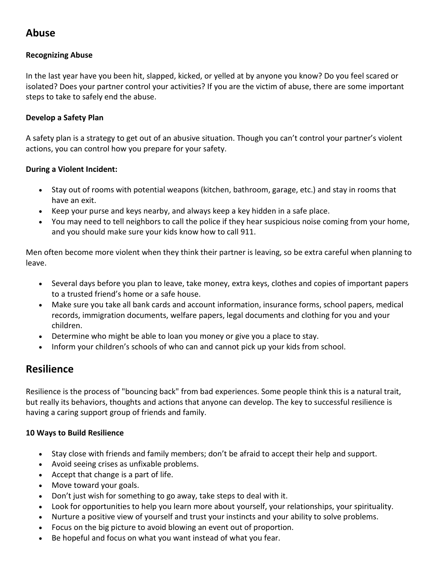# **Abuse**

## **Recognizing Abuse**

In the last year have you been hit, slapped, kicked, or yelled at by anyone you know? Do you feel scared or isolated? Does your partner control your activities? If you are the victim of abuse, there are some important steps to take to safely end the abuse.

#### **Develop a Safety Plan**

A safety plan is a strategy to get out of an abusive situation. Though you can't control your partner's violent actions, you can control how you prepare for your safety.

#### **During a Violent Incident:**

- Stay out of rooms with potential weapons (kitchen, bathroom, garage, etc.) and stay in rooms that have an exit.
- Keep your purse and keys nearby, and always keep a key hidden in a safe place.
- You may need to tell neighbors to call the police if they hear suspicious noise coming from your home, and you should make sure your kids know how to call 911.

Men often become more violent when they think their partner is leaving, so be extra careful when planning to leave.

- Several days before you plan to leave, take money, extra keys, clothes and copies of important papers to a trusted friend's home or a safe house.
- Make sure you take all bank cards and account information, insurance forms, school papers, medical records, immigration documents, welfare papers, legal documents and clothing for you and your children.
- Determine who might be able to loan you money or give you a place to stay.
- Inform your children's schools of who can and cannot pick up your kids from school.

# **Resilience**

Resilience is the process of "bouncing back" from bad experiences. Some people think this is a natural trait, but really its behaviors, thoughts and actions that anyone can develop. The key to successful resilience is having a caring support group of friends and family.

### **10 Ways to Build Resilience**

- Stay close with friends and family members; don't be afraid to accept their help and support.
- Avoid seeing crises as unfixable problems.
- Accept that change is a part of life.
- Move toward your goals.
- Don't just wish for something to go away, take steps to deal with it.
- Look for opportunities to help you learn more about yourself, your relationships, your spirituality.
- Nurture a positive view of yourself and trust your instincts and your ability to solve problems.
- Focus on the big picture to avoid blowing an event out of proportion.
- Be hopeful and focus on what you want instead of what you fear.